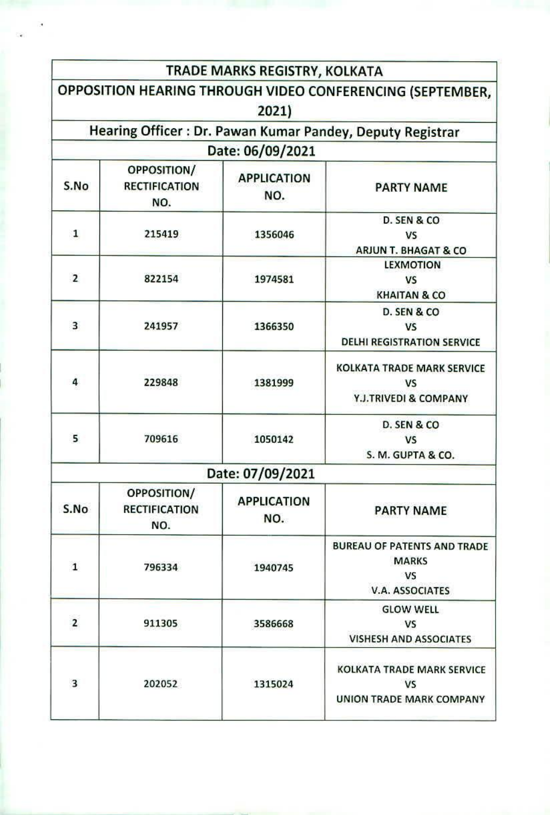|                |                                                   | TRADE MARKS REGISTRY, KOLKATA |                                                                                           |
|----------------|---------------------------------------------------|-------------------------------|-------------------------------------------------------------------------------------------|
|                |                                                   |                               | OPPOSITION HEARING THROUGH VIDEO CONFERENCING (SEPTEMBER,                                 |
|                |                                                   | 2021)                         |                                                                                           |
|                |                                                   |                               | Hearing Officer: Dr. Pawan Kumar Pandey, Deputy Registrar                                 |
|                |                                                   | Date: 06/09/2021              |                                                                                           |
| S.No           | OPPOSITION/<br><b>RECTIFICATION</b><br>NO.        | <b>APPLICATION</b><br>NO.     | <b>PARTY NAME</b>                                                                         |
| $\mathbf{1}$   | 215419                                            | 1356046                       | D. SEN & CO<br>VS<br><b>ARJUN T. BHAGAT &amp; CO</b>                                      |
| $\overline{2}$ | 822154                                            | 1974581                       | <b>LEXMOTION</b><br>VS<br><b>KHAITAN &amp; CO</b>                                         |
| 3              | 241957                                            | 1366350                       | D. SEN & CO<br><b>VS</b><br><b>DELHI REGISTRATION SERVICE</b>                             |
| 4              | 229848                                            | 1381999                       | <b>KOLKATA TRADE MARK SERVICE</b><br>VS<br>Y.J.TRIVEDI & COMPANY                          |
| 5              | 709616                                            | 1050142                       | D. SEN & CO<br><b>VS</b><br>S. M. GUPTA & CO.                                             |
|                |                                                   | Date: 07/09/2021              |                                                                                           |
| S.No           | <b>OPPOSITION/</b><br><b>RECTIFICATION</b><br>NO. | <b>APPLICATION</b><br>NO.     | <b>PARTY NAME</b>                                                                         |
| $\mathbf{1}$   | 796334                                            | 1940745                       | <b>BUREAU OF PATENTS AND TRADE</b><br><b>MARKS</b><br><b>VS</b><br><b>V.A. ASSOCIATES</b> |
| $\overline{2}$ | 911305                                            | 3586668                       | <b>GLOW WELL</b><br><b>VS</b><br><b>VISHESH AND ASSOCIATES</b>                            |
| 3              | 202052                                            | 1315024                       | <b>KOLKATA TRADE MARK SERVICE</b><br><b>VS</b><br><b>UNION TRADE MARK COMPANY</b>         |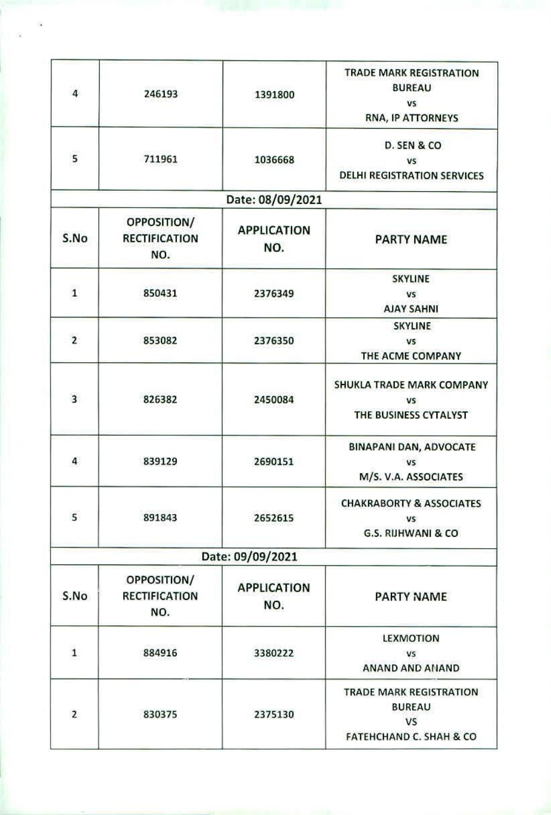| $\overline{4}$          | 246193                                            | 1391800                   | <b>TRADE MARK REGISTRATION</b><br><b>BUREAU</b><br>VS<br><b>RNA, IP ATTORNEYS</b>           |
|-------------------------|---------------------------------------------------|---------------------------|---------------------------------------------------------------------------------------------|
| 5                       | 711961                                            | 1036668                   | D. SEN & CO<br><b>VS</b><br><b>DELHI REGISTRATION SERVICES</b>                              |
|                         |                                                   | Date: 08/09/2021          |                                                                                             |
| S.No                    | <b>OPPOSITION/</b><br><b>RECTIFICATION</b><br>NO. | <b>APPLICATION</b><br>NO. | <b>PARTY NAME</b>                                                                           |
| $\mathbf 1$             | 850431                                            | 2376349                   | <b>SKYLINE</b><br><b>VS</b><br><b>AJAY SAHNI</b>                                            |
| $\overline{2}$          | 853082                                            | 2376350                   | <b>SKYLINE</b><br>V <sub>S</sub><br>THE ACME COMPANY                                        |
| $\overline{\mathbf{3}}$ | 826382                                            | 2450084                   | SHUKLA TRADE MARK COMPANY<br>V <sub>5</sub><br>THE BUSINESS CYTALYST                        |
| 4                       | 839129                                            | 2690151                   | <b>BINAPANI DAN, ADVOCATE</b><br>V5<br>M/S. V.A. ASSOCIATES                                 |
| 5                       | 891843                                            | 2652615                   | <b>CHAKRABORTY &amp; ASSOCIATES</b><br>VS.<br>G.S. RIJHWANI & CO                            |
|                         |                                                   | Date: 09/09/2021          |                                                                                             |
| S.No                    | OPPOSITION/<br><b>RECTIFICATION</b><br>NO.        | <b>APPLICATION</b><br>NO. | PARTY NAME                                                                                  |
| $\mathbf 1$             | 884916                                            | 3380222                   | <b>LEXMOTION</b><br>VS<br><b>ANAND AND ANAND</b>                                            |
| $\overline{2}$          | 830375                                            | 2375130                   | <b>TRADE MARK REGISTRATION</b><br><b>BUREAU</b><br>VS<br><b>FATEHCHAND C. SHAH &amp; CO</b> |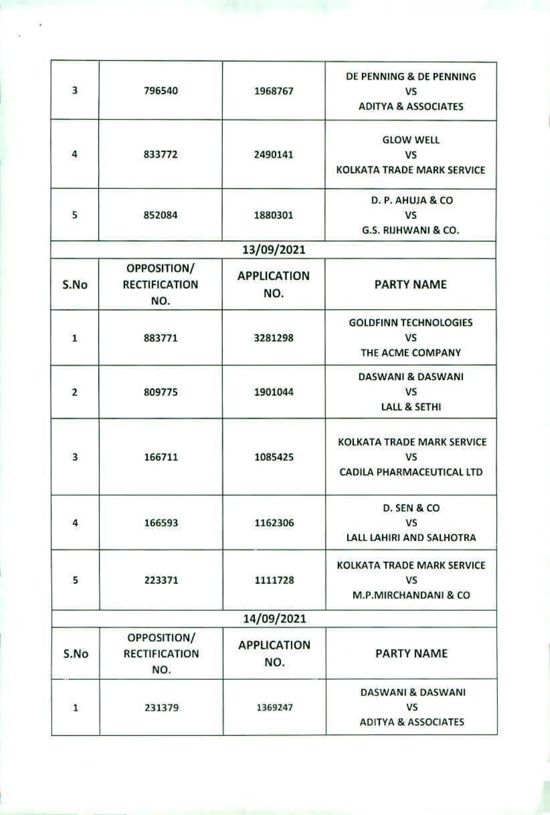| 3              | 796540                                     | 1968767                   | DE PENNING & DE PENNING<br><b>VS</b><br><b>ADITYA &amp; ASSOCIATES</b>      |
|----------------|--------------------------------------------|---------------------------|-----------------------------------------------------------------------------|
| 4              | 833772                                     | 2490141                   | <b>GLOW WELL</b><br><b>VS</b><br><b>KOLKATA TRADE MARK SERVICE</b>          |
| 5              | 852084                                     | 1880301                   | D. P. AHUJA & CO<br><b>VS</b><br>G.S. RIJHWANI & CO.                        |
|                |                                            | 13/09/2021                |                                                                             |
| S.No           | OPPOSITION/<br><b>RECTIFICATION</b><br>NO. | <b>APPLICATION</b><br>NO. | <b>PARTY NAME</b>                                                           |
| $\mathbf{1}$   | 883771                                     | 3281298                   | <b>GOLDFINN TECHNOLOGIES</b><br><b>VS</b><br>THE ACME COMPANY               |
| $\overline{2}$ | 809775                                     | 1901044                   | <b>DASWANI &amp; DASWANI</b><br><b>VS</b><br><b>LALL &amp; SETHI</b>        |
| $\overline{3}$ | 166711                                     | 1085425                   | <b>KOLKATA TRADE MARK SERVICE</b><br><b>VS</b><br>CADILA PHARMACEUTICAL LTD |
| 4              | 166593                                     | 1162306                   | D. SEN & CO<br><b>VS</b><br>LALL LAHIRI AND SALHOTRA                        |
| 5              | 223371                                     | 1111728                   | <b>KOLKATA TRADE MARK SERVICE</b><br><b>VS</b><br>M.P.MIRCHANDANI & CO      |
|                |                                            | 14/09/2021                |                                                                             |
| S.No           | OPPOSITION/<br><b>RECTIFICATION</b><br>NO. | <b>APPLICATION</b><br>NO. | <b>PARTY NAME</b>                                                           |
| $\mathbf{1}$   | 231379                                     | 1369247                   | <b>DASWANI &amp; DASWANI</b><br>VS<br><b>ADITYA &amp; ASSOCIATES</b>        |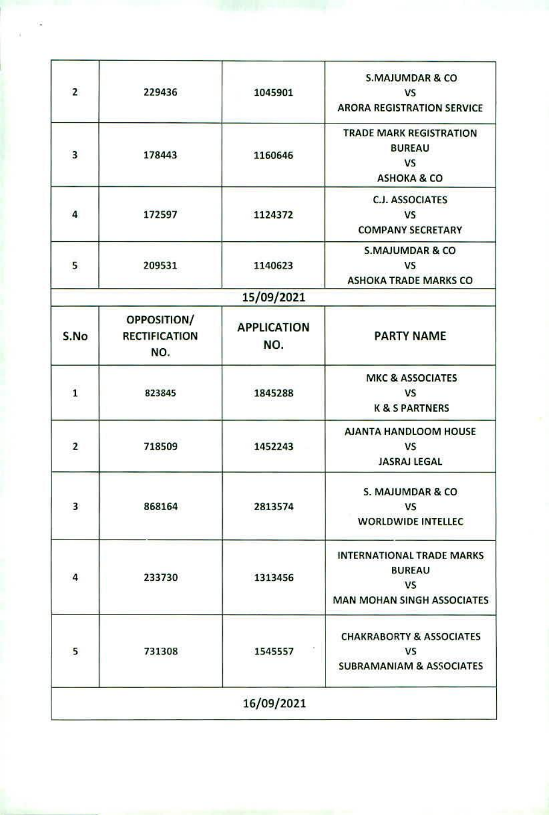| $\overline{2}$ | 229436                                     | 1045901                   | <b>S.MAJUMDAR &amp; CO</b><br><b>VS</b><br><b>ARORA REGISTRATION SERVICE</b>                        |
|----------------|--------------------------------------------|---------------------------|-----------------------------------------------------------------------------------------------------|
| 3              | 178443                                     | 1160646                   | <b>TRADE MARK REGISTRATION</b><br><b>BUREAU</b><br><b>VS</b><br><b>ASHOKA &amp; CO</b>              |
| 4              | 172597                                     | 1124372                   | <b>C.J. ASSOCIATES</b><br><b>VS</b><br><b>COMPANY SECRETARY</b>                                     |
| 5              | 209531                                     | 1140623                   | <b>S.MAJUMDAR &amp; CO</b><br><b>VS</b><br><b>ASHOKA TRADE MARKS CO</b>                             |
|                |                                            | 15/09/2021                |                                                                                                     |
| S.No           | OPPOSITION/<br><b>RECTIFICATION</b><br>NO. | <b>APPLICATION</b><br>NO. | <b>PARTY NAME</b>                                                                                   |
| $\mathbf{1}$   | 823845                                     | 1845288                   | <b>MKC &amp; ASSOCIATES</b><br><b>VS</b><br><b>K &amp; S PARTNERS</b>                               |
| $\overline{2}$ | 718509                                     | 1452243                   | AJANTA HANDLOOM HOUSE<br><b>VS</b><br><b>JASRAJ LEGAL</b>                                           |
| 3              | 868164                                     | 2813574                   | S. MAJUMDAR & CO<br><b>VS</b><br><b>WORLDWIDE INTELLEC</b>                                          |
| 4              | 233730                                     | 1313456                   | <b>INTERNATIONAL TRADE MARKS</b><br><b>BUREAU</b><br><b>VS</b><br><b>MAN MOHAN SINGH ASSOCIATES</b> |
| 5              | 731308                                     | 1545557                   | <b>CHAKRABORTY &amp; ASSOCIATES</b><br><b>VS</b><br><b>SUBRAMANIAM &amp; ASSOCIATES</b>             |
|                |                                            | 16/09/2021                |                                                                                                     |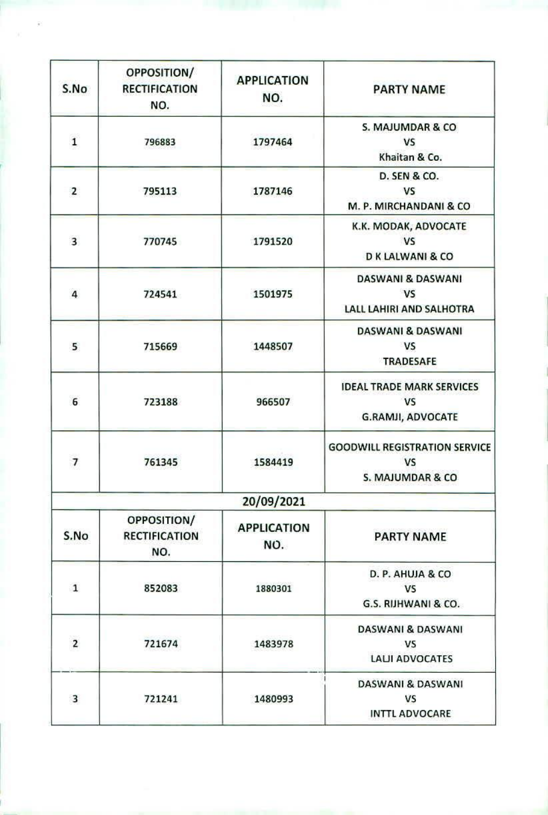| S.No                    | OPPOSITION/<br><b>RECTIFICATION</b><br>NO. | <b>APPLICATION</b><br>NO. | <b>PARTY NAME</b>                                                         |
|-------------------------|--------------------------------------------|---------------------------|---------------------------------------------------------------------------|
| $\mathbf 1$             | 796883                                     | 1797464                   | S. MAJUMDAR & CO<br><b>VS</b><br>Khaitan & Co.                            |
| $\overline{2}$          | 795113                                     | 1787146                   | <b>D. SEN &amp; CO.</b><br>VS<br>M. P. MIRCHANDANI & CO                   |
| $\overline{\mathbf{3}}$ | 770745                                     | 1791520                   | K.K. MODAK, ADVOCATE<br><b>VS</b><br>D K LALWANI & CO                     |
| $\overline{4}$          | 724541                                     | 1501975                   | <b>DASWANI &amp; DASWANI</b><br><b>VS</b><br>LALL LAHIRI AND SALHOTRA     |
| 5                       | 715669                                     | 1448507                   | DASWANI & DASWANI<br><b>VS</b><br><b>TRADESAFE</b>                        |
| $\overline{6}$          | 723188                                     | 966507                    | <b>IDEAL TRADE MARK SERVICES</b><br><b>VS</b><br><b>G.RAMJI, ADVOCATE</b> |
| 7                       | 761345                                     | 1584419                   | <b>GOODWILL REGISTRATION SERVICE</b><br>VS<br>S. MAJUMDAR & CO            |
|                         |                                            | 20/09/2021                |                                                                           |
| S.No                    | OPPOSITION/<br><b>RECTIFICATION</b><br>NO. | <b>APPLICATION</b><br>NO. | <b>PARTY NAME</b>                                                         |
| $\mathbf{1}$            | 852083                                     | 1880301                   | D. P. AHUJA & CO<br>V <sub>S</sub><br>G.S. RIJHWANI & CO.                 |
| $\mathbf 2$             | 721674                                     | 1483978                   | <b>DASWANI &amp; DASWANI</b><br><b>VS</b><br>LALII ADVOCATES              |
| $\overline{\mathbf{3}}$ | 721241                                     | 1480993                   | <b>DASWANI &amp; DASWANI</b><br>VS<br><b>INTTL ADVOCARE</b>               |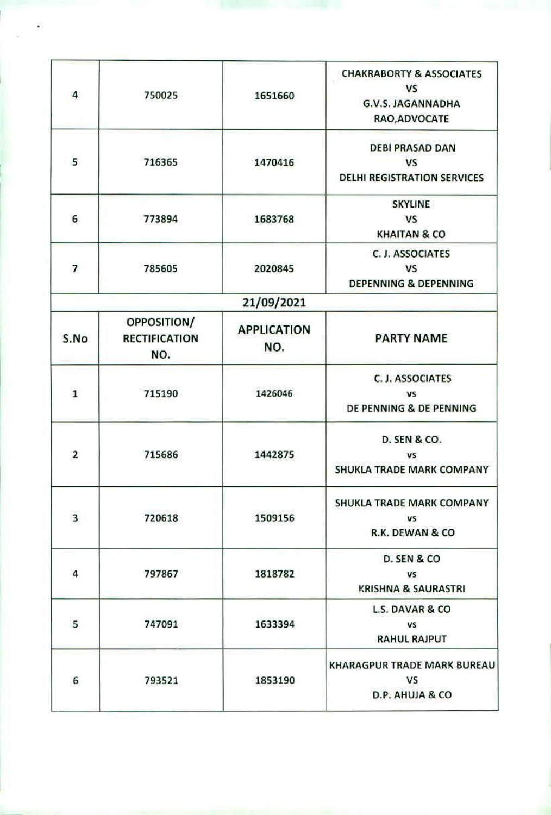| 4                        | 750025                                     | 1651660                   | <b>CHAKRABORTY &amp; ASSOCIATES</b><br><b>VS</b><br><b>G.V.S. JAGANNADHA</b><br>RAO, ADVOCATE |
|--------------------------|--------------------------------------------|---------------------------|-----------------------------------------------------------------------------------------------|
| 5                        | 716365                                     | 1470416                   | <b>DEBI PRASAD DAN</b><br><b>VS</b><br><b>DELHI REGISTRATION SERVICES</b>                     |
| 6                        | 773894                                     | 1683768                   | <b>SKYLINE</b><br><b>VS</b><br><b>KHAITAN &amp; CO</b>                                        |
| $\overline{\phantom{a}}$ | 785605                                     | 2020845                   | C. J. ASSOCIATES<br>VS<br><b>DEPENNING &amp; DEPENNING</b>                                    |
|                          |                                            | 21/09/2021                |                                                                                               |
| S.No                     | OPPOSITION/<br><b>RECTIFICATION</b><br>NO. | <b>APPLICATION</b><br>NO. | <b>PARTY NAME</b>                                                                             |
| $\mathbf 1$              | 715190                                     | 1426046                   | C. J. ASSOCIATES<br><b>VS</b><br>DE PENNING & DE PENNING                                      |
| $\overline{2}$           | 715686                                     | 1442875                   | <b>D. SEN &amp; CO.</b><br><b>VS</b><br>SHUKLA TRADE MARK COMPANY                             |
| 3                        | 720618                                     | 1509156                   | SHUKLA TRADE MARK COMPANY<br>VS<br>R.K. DEWAN & CO                                            |
| 4                        | 797867                                     | 1818782                   | D. SEN & CO<br>VS.<br>KRISHNA & SAURASTRI                                                     |
| 5                        | 747091                                     | 1633394                   | <b>L.S. DAVAR &amp; CO</b><br>VS<br><b>RAHUL RAJPUT</b>                                       |
| 6                        | 793521                                     | 1853190                   | <b>KHARAGPUR TRADE MARK BUREAU</b><br><b>VS</b><br>D.P. AHUJA & CO                            |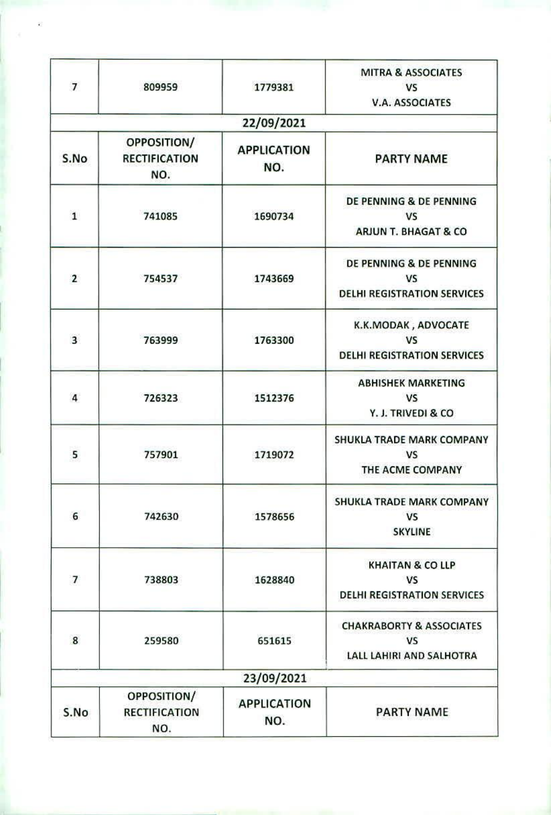| $\overline{7}$          | 809959                                            | 1779381                   | <b>MITRA &amp; ASSOCIATES</b><br><b>VS</b><br><b>V.A. ASSOCIATES</b>           |
|-------------------------|---------------------------------------------------|---------------------------|--------------------------------------------------------------------------------|
|                         |                                                   | 22/09/2021                |                                                                                |
| S.No                    | <b>OPPOSITION/</b><br><b>RECTIFICATION</b><br>NO. | <b>APPLICATION</b><br>NO. | <b>PARTY NAME</b>                                                              |
| $\mathbf{1}$            | 741085                                            | 1690734                   | DE PENNING & DE PENNING<br>VS<br>ARJUN T. BHAGAT & CO                          |
| $\overline{2}$          | 754537                                            | 1743669                   | DE PENNING & DE PENNING<br><b>VS</b><br><b>DELHI REGISTRATION SERVICES</b>     |
| $\overline{\mathbf{3}}$ | 763999                                            | 1763300                   | K.K.MODAK, ADVOCATE<br><b>VS</b><br><b>DELHI REGISTRATION SERVICES</b>         |
| $\overline{4}$          | 726323                                            | 1512376                   | <b>ABHISHEK MARKETING</b><br><b>VS</b><br>Y. J. TRIVEDI & CO                   |
| 5                       | 757901                                            | 1719072                   | SHUKLA TRADE MARK COMPANY<br><b>VS</b><br>THE ACME COMPANY                     |
| 6                       | 742630                                            | 1578656                   | SHUKLA TRADE MARK COMPANY<br><b>VS</b><br><b>SKYLINE</b>                       |
| $\overline{7}$          | 738803                                            | 1628840                   | <b>KHAITAN &amp; CO LLP</b><br><b>VS</b><br><b>DELHI REGISTRATION SERVICES</b> |
| 8                       | 259580                                            | 651615                    | <b>CHAKRABORTY &amp; ASSOCIATES</b><br><b>VS</b><br>LALL LAHIRI AND SALHOTRA   |
|                         |                                                   | 23/09/2021                |                                                                                |
| S.No                    | OPPOSITION/<br><b>RECTIFICATION</b><br>NO.        | <b>APPLICATION</b><br>NO. | <b>PARTY NAME</b>                                                              |